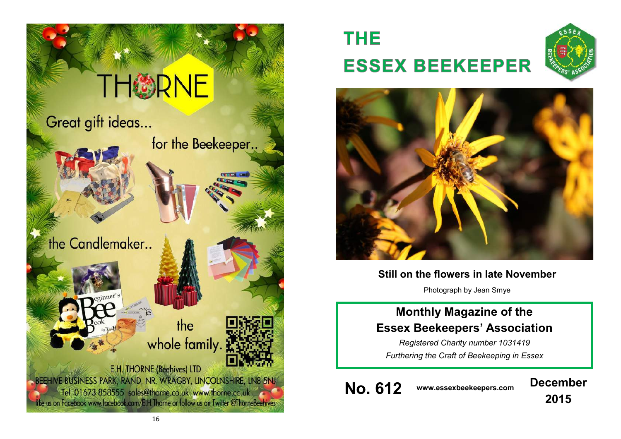

# **THE ESSEX BEEKEEPER**





# **Still on the flowers in late November**

Photograph by Jean Smye

# **Monthly Magazine of the Essex Beekeepers' Association**

*Registered Charity number 1031419 Furthering the Craft of Beekeeping in Essex*

**No. 612 www.essexbeekeepers.com December**

**2015**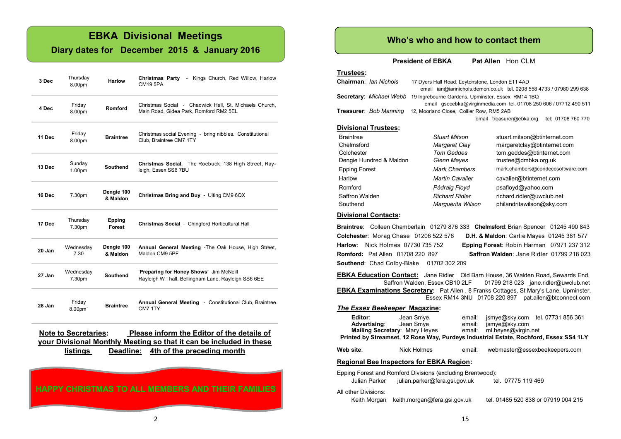# **EBKA Divisional Meetings**

### **Diary dates for December 2015 & January 2016**

| 3 Dec  | Thursday<br>8.00pm  | Harlow                 | - Kings Church, Red Willow, Harlow<br><b>Christmas Party</b><br>CM19 5PA                         |
|--------|---------------------|------------------------|--------------------------------------------------------------------------------------------------|
| 4 Dec  | Friday<br>8.00pm    | Romford                | Christmas Social - Chadwick Hall, St. Michaels Church,<br>Main Road, Gidea Park, Romford RM2 5EL |
| 11 Dec | Friday<br>8.00pm    | <b>Braintree</b>       | Christmas social Evening - bring nibbles. Constitutional<br>Club. Braintree CM7 1TY              |
| 13 Dec | Sunday<br>1.00pm    | <b>Southend</b>        | Christmas Social. The Roebuck, 138 High Street, Ray-<br>leigh, Essex SS6 7BU                     |
| 16 Dec | 7.30pm              | Dengie 100<br>& Maldon | Christmas Bring and Buy - Ulting CM9 6QX                                                         |
| 17 Dec | Thursday<br>7.30pm  | Epping<br>Forest       | Christmas Social - Chingford Horticultural Hall                                                  |
| 20 Jan | Wednesday<br>7.30   | Dengie 100<br>& Maldon | Annual General Meeting - The Oak House, High Street,<br>Maldon CM9 5PF                           |
| 27 Jan | Wednesday<br>7.30pm | <b>Southend</b>        | 'Preparing for Honey Shows' Jim McNeill<br>Rayleigh W I hall, Bellingham Lane, Rayleigh SS6 6EE  |
| 28 Jan | Friday<br>8.00pm    | <b>Braintree</b>       | <b>Annual General Meeting - Constitutional Club, Braintree</b><br>CM7 1TY                        |

**Note to Secretaries: Please inform the Editor of the details of your Divisional Monthly Meeting so that it can be included in these listings Deadline: 4th of the preceding month** 

**HAPPY CHRISTMAS TO ALL MEMBERS AND THEIR FAMILIES**

### **Who's who and how to contact them**

**President of EBKA** Pat Allen Hon CLM

#### **Trustees: Chairman**: *Ian Nichols* 17 Dyers Hall Road, Leytonstone, London E11 4AD email ian@iannichols.demon.co.uk tel. 0208 558 4733 / 07980 299 638 **Secretary**: *Michael Webb* 19 Ingrebourne Gardens, Upminster, Essex RM14 1BQ

 email gsecebka@virginmedia.com tel. 01708 250 606 / 07712 490 511 **Treasurer**: *Bob Manning* 12, Moorland Close, Collier Row, RM5 2AB email treasurer@ebka.org tel: 01708 760 770

### **Divisional Trustees:**

| Braintree               | <b>Stuart Mitson</b>   | stuart.mitson@btinternet.com      |
|-------------------------|------------------------|-----------------------------------|
| Chelmsford              | Margaret Clay          | margaretclay@btinternet.com       |
| Colchester              | <b>Tom Geddes</b>      | tom.geddes@btinternet.com         |
| Dengie Hundred & Maldon | Glenn Mayes            | trustee@dmbka.org.uk              |
| Epping Forest           | <b>Mark Chambers</b>   | mark.chambers@condecosoftware.com |
| Harlow                  | <b>Martin Cavalier</b> | cavalier@btinternet.com           |
| Romford                 | Pádraig Floyd          | psafloyd@yahoo.com                |
| Saffron Walden          | <b>Richard Ridler</b>  | richard.ridler@uwclub.net         |
| Southend                | Marquerita Wilson      | philandritawilson@sky.com         |

#### **Divisional Contacts:**

**Braintree**: Colleen Chamberlain 01279 876 333 **Chelmsford**: Brian Spencer 01245 490 843 **Colchester**: Morag Chase 01206 522 576 **D.H. & Maldon**: Carlie Mayes 01245 381 577 **Harlow**: Nick Holmes 07730 735 752 **Epping Forest**: Robin Harman 07971 237 312 **Romford:** Pat Allen 01708 220 897 **Saffron Walden**: Jane Ridler 01799 218 023 **Southend**: Chad Colby-Blake 01702 302 209

**EBKA Education Contact:** Jane Ridler Old Barn House, 36 Walden Road, Sewards End, Saffron Walden, Essex CB10 2LF 01799 218 023 jane.ridler@uwclub.net **EBKA Examinations Secretary:** Pat Allen , 8 Franks Cottages, St Mary's Lane, Upminster, Essex RM14 3NU 01708 220 897 pat.allen@btconnect.com

#### *The Essex Beekeeper* **Magazine:**

| Editor:<br><b>Advertising:</b><br>Mailing Secretary: Mary Heyes                                                                    | Jean Smye,<br>Jean Smye                                                               | email:<br>email:<br>email: | jsmye@sky.com<br>ml.heyes@virgin.net | jsmye@sky.com tel. 07731 856 361 |  |  |  |
|------------------------------------------------------------------------------------------------------------------------------------|---------------------------------------------------------------------------------------|----------------------------|--------------------------------------|----------------------------------|--|--|--|
|                                                                                                                                    | Printed by Streamset, 12 Rose Way, Purdeys Industrial Estate, Rochford, Essex SS4 1LY |                            |                                      |                                  |  |  |  |
| Web site:                                                                                                                          | Nick Holmes                                                                           | email:                     |                                      | webmaster@essexbeekeepers.com    |  |  |  |
| <b>Regional Bee Inspectors for EBKA Region:</b>                                                                                    |                                                                                       |                            |                                      |                                  |  |  |  |
| Epping Forest and Romford Divisions (excluding Brentwood):<br>julian.parker@fera.gsi.gov.uk<br>Julian Parker<br>tel. 07775 119 469 |                                                                                       |                            |                                      |                                  |  |  |  |

#### All other Divisions:

Keith Morgan keith.morgan@fera.gsi.gov.uk tel. 01485 520 838 or 07919 004 215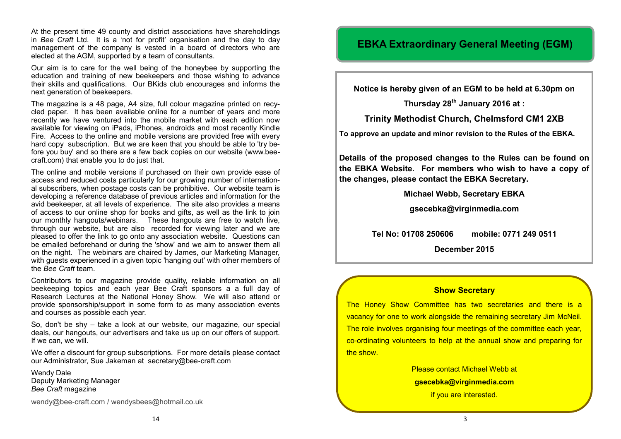At the present time 49 county and district associations have shareholdings in *Bee Craft* Ltd. It is a 'not for profit' organisation and the day to day management of the company is vested in a board of directors who are elected at the AGM, supported by a team of consultants.

Our aim is to care for the well being of the honeybee by supporting the education and training of new beekeepers and those wishing to advance their skills and qualifications. Our BKids club encourages and informs the next generation of beekeepers.

The magazine is a 48 page, A4 size, full colour magazine printed on recycled paper. It has been available online for a number of years and more recently we have ventured into the mobile market with each edition now available for viewing on iPads, iPhones, androids and most recently Kindle Fire. Access to the online and mobile versions are provided free with every hard copy subscription. But we are keen that you should be able to 'try before you buy' and so there are a few back copies on our website ([www.bee](http://www.bee-craft.com/)[craft.com\)](http://www.bee-craft.com/) that enable you to do just that.

The online and mobile versions if purchased on their own provide ease of access and reduced costs particularly for our growing number of international subscribers, when postage costs can be prohibitive. Our website team is developing a reference database of previous articles and information for the avid beekeeper, at all levels of experience. The site also provides a means of access to our online shop for books and gifts, as well as the link to join our monthly hangouts/webinars. These hangouts are free to watch live, through our website, but are also recorded for viewing later and we are pleased to offer the link to go onto any association website. Questions can be emailed beforehand or during the 'show' and we aim to answer them all on the night. The webinars are chaired by James, our Marketing Manager, with guests experienced in a given topic 'hanging out' with other members of the *Bee Craft* team.

Contributors to our magazine provide quality, reliable information on all beekeeping topics and each year Bee Craft sponsors a a full day of Research Lectures at the National Honey Show. We will also attend or provide sponsorship/support in some form to as many association events and courses as possible each year.

So, don't be shy – take a look at our website, our magazine, our special deals, our hangouts, our advertisers and take us up on our offers of support. If we can, we will.

We offer a discount for group subscriptions. For more details please contact our Administrator, Sue Jakeman at secretary@bee-craft.com

Wendy Dale Deputy Marketing Manager *Bee Craft* magazine

[wendy@bee](mailto:wendy@bee-craft.com)-craft.com / wendysbees@hotmail.co.uk

# **EBKA Extraordinary General Meeting (EGM)**

**Notice is hereby given of an EGM to be held at 6.30pm on** 

**Thursday 28th January 2016 at :**

**Trinity Methodist Church, Chelmsford CM1 2XB**

**To approve an update and minor revision to the Rules of the EBKA.**

**Details of the proposed changes to the Rules can be found on the EBKA Website. For members who wish to have a copy of the changes, please contact the EBKA Secretary.**

**Michael Webb, Secretary EBKA**

**[gsecebka@virginmedia.com](mailto:gsecebka@virginmedia.com)**

**Tel No: 01708 250606 mobile: 0771 249 0511**

**December 2015**

### **Show Secretary**

The Honey Show Committee has two secretaries and there is a vacancy for one to work alongside the remaining secretary Jim McNeil. The role involves organising four meetings of the committee each year, co-ordinating volunteers to help at the annual show and preparing for the show.

> Please contact Michael Webb at **gsecebka@virginmedia.com**  if you are interested.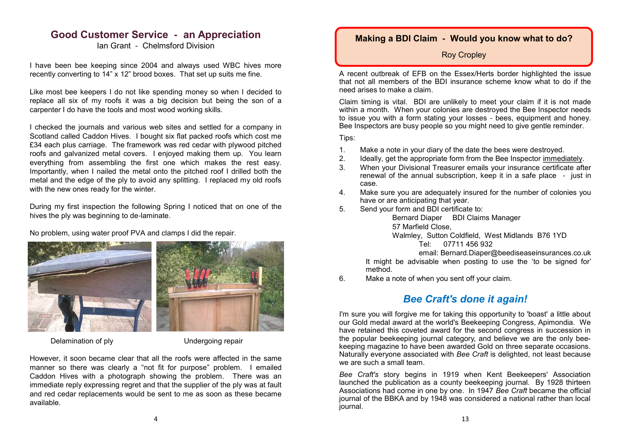### **Good Customer Service - an Appreciation**

Ian Grant - Chelmsford Division

I have been bee keeping since 2004 and always used WBC hives more recently converting to 14" x 12" brood boxes. That set up suits me fine.

Like most bee keepers I do not like spending money so when I decided to replace all six of my roofs it was a big decision but being the son of a carpenter I do have the tools and most wood working skills.

I checked the journals and various web sites and settled for a company in Scotland called Caddon Hives. I bought six flat packed roofs which cost me £34 each plus carriage. The framework was red cedar with plywood pitched roofs and galvanized metal covers. I enjoyed making them up. You learn everything from assembling the first one which makes the rest easy. Importantly, when I nailed the metal onto the pitched roof I drilled both the metal and the edge of the ply to avoid any splitting. I replaced my old roofs with the new ones ready for the winter.

During my first inspection the following Spring I noticed that on one of the hives the ply was beginning to de-laminate.

No problem, using water proof PVA and clamps I did the repair.



Delamination of ply **Undergoing repair** 

However, it soon became clear that all the roofs were affected in the same manner so there was clearly a "not fit for purpose" problem. I emailed Caddon Hives with a photograph showing the problem. There was an immediate reply expressing regret and that the supplier of the ply was at fault and red cedar replacements would be sent to me as soon as these became available.

### **Making a BDI Claim - Would you know what to do?**

Roy Cropley

A recent outbreak of EFB on the Essex/Herts border highlighted the issue that not all members of the BDI insurance scheme know what to do if the need arises to make a claim.

Claim timing is vital. BDI are unlikely to meet your claim if it is not made within a month. When your colonies are destroved the Bee Inspector needs to issue you with a form stating your losses - bees, equipment and honey. Bee Inspectors are busy people so you might need to give gentle reminder.

Tips:

- 1. Make a note in your diary of the date the bees were destroyed.
- 2. Ideally, get the appropriate form from the Bee Inspector immediately.
- 3. When your Divisional Treasurer emails your insurance certificate after renewal of the annual subscription, keep it in a safe place - just in case.
- 4. Make sure you are adequately insured for the number of colonies you have or are anticipating that year.
- 5. Send your form and BDI certificate to:

Bernard Diaper BDI Claims Manager

57 Marfield Close,

Walmley, Sutton Coldfield, West Midlands B76 1YD

Tel: 07711 456 932

email: Bernard.Diaper@beediseaseinsurances.co.uk It might be advisable when posting to use the 'to be signed for' method.

6. Make a note of when you sent off your claim.

# *Bee Craft's done it again!*

I'm sure you will forgive me for taking this opportunity to 'boast' a little about our Gold medal award at the world's Beekeeping Congress, Apimondia. We have retained this coveted award for the second congress in succession in the popular beekeeping journal category, and believe we are the only beekeeping magazine to have been awarded Gold on three separate occasions. Naturally everyone associated with *Bee Craft* is delighted, not least because we are such a small team.

*Bee Craft's* story begins in 1919 when Kent Beekeepers' Association launched the publication as a county beekeeping journal. By 1928 thirteen Associations had come in one by one. In 1947 *Bee Craft* became the official journal of the BBKA and by 1948 was considered a national rather than local journal.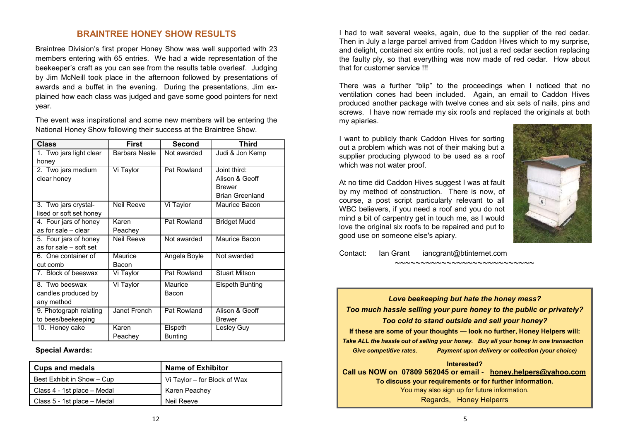### **BRAINTREE HONEY SHOW RESULTS**

Braintree Division's first proper Honey Show was well supported with 23 members entering with 65 entries. We had a wide representation of the beekeeper's craft as you can see from the results table overleaf. Judging by Jim McNeill took place in the afternoon followed by presentations of awards and a buffet in the evening. During the presentations, Jim explained how each class was judged and gave some good pointers for next year.

The event was inspirational and some new members will be entering the National Honey Show following their success at the Braintree Show.

| Class                   | <b>First</b>  | Second         | Third                  |
|-------------------------|---------------|----------------|------------------------|
| 1. Two jars light clear | Barbara Neale | Not awarded    | Judi & Jon Kemp        |
| honey                   |               |                |                        |
| 2. Two jars medium      | Vi Taylor     | Pat Rowland    | Joint third:           |
| clear honey             |               |                | Alison & Geoff         |
|                         |               |                | <b>Brewer</b>          |
|                         |               |                | <b>Brian Greenland</b> |
| 3. Two jars crystal-    | Neil Reeve    | Vi Taylor      | Maurice Bacon          |
| lised or soft set honey |               |                |                        |
| 4. Four jars of honey   | Karen         | Pat Rowland    | <b>Bridget Mudd</b>    |
| as for sale - clear     | Peachey       |                |                        |
| 5. Four jars of honey   | Neil Reeve    | Not awarded    | Maurice Bacon          |
| as for sale - soft set  |               |                |                        |
| 6. One container of     | Maurice       | Angela Boyle   | Not awarded            |
| cut comb                | Bacon         |                |                        |
| 7. Block of beeswax     | Vi Taylor     | Pat Rowland    | <b>Stuart Mitson</b>   |
| 8. Two beeswax          | Vi Taylor     | Maurice        | <b>Elspeth Bunting</b> |
| candles produced by     |               | Bacon          |                        |
| any method              |               |                |                        |
| 9. Photograph relating  | Janet French  | Pat Rowland    | Alison & Geoff         |
| to bees/beekeeping      |               |                | <b>Brewer</b>          |
| 10. Honey cake          | Karen         | Elspeth        | Lesley Guy             |
|                         | Peachey       | <b>Bunting</b> |                        |

**Special Awards:**

| <b>Cups and medals</b>      | <b>Name of Exhibitor</b>     |  |
|-----------------------------|------------------------------|--|
| Best Exhibit in Show - Cup  | Vi Taylor - for Block of Wax |  |
| Class 4 - 1st place – Medal | <b>Karen Peachey</b>         |  |
| Class 5 - 1st place – Medal | Neil Reeve                   |  |

I had to wait several weeks, again, due to the supplier of the red cedar. Then in July a large parcel arrived from Caddon Hives which to my surprise, and delight, contained six entire roofs, not just a red cedar section replacing the faulty ply, so that everything was now made of red cedar. How about that for customer service !!!

There was a further "blip" to the proceedings when I noticed that no ventilation cones had been included. Again, an email to Caddon Hives produced another package with twelve cones and six sets of nails, pins and screws. I have now remade my six roofs and replaced the originals at both my apiaries.

I want to publicly thank Caddon Hives for sorting out a problem which was not of their making but a supplier producing plywood to be used as a roof which was not water proof.

At no time did Caddon Hives suggest I was at fault by my method of construction. There is now, of course, a post script particularly relevant to all WBC believers, if you need a roof and you do not mind a bit of carpentry get in touch me, as I would love the original six roofs to be repaired and put to good use on someone else's apiary.



Contact: Ian Grant iancgrant@btinternet.com

~~~~~~~~~~~~~~~~~~~~~~~~~~~~

*Love beekeeping but hate the honey mess? Too much hassle selling your pure honey to the public or privately? Too cold to stand outside and sell your honey?* **If these are some of your thoughts — look no further, Honey Helpers will:** *Take ALL the hassle out of selling your honey. Buy all your honey in one transaction Give competitive rates. Payment upon delivery or collection (your choice)* **Interested?**

**How many is that? Call us NOW on 07809 562045 or email - [honey.helpers@yahoo.com](mailto:honey.helpers@yahoo.com) To discuss your requirements or for further information.** You may also sign up for future information. Regards, Honey Helperrs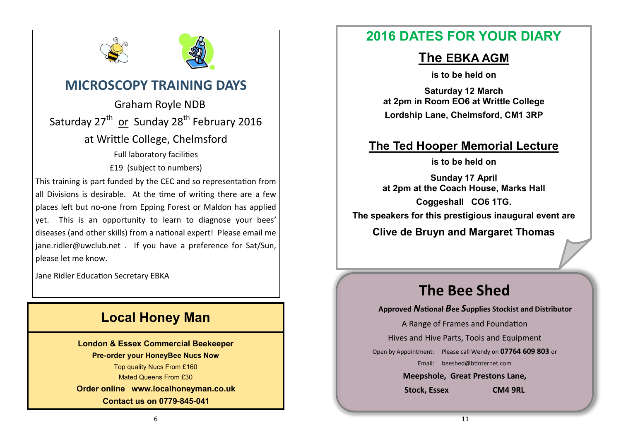



# **MICROSCOPY TRAINING DAYS**

 Graham Royle NDB Saturday 27<sup>th</sup> or Sunday 28<sup>th</sup> February 2016 at Writtle College, Chelmsford Full laboratory facilities £19 (subject to numbers) This training is part funded by the CEC and so representation from all Divisions is desirable. At the time of writing there are a few places left but no-one from Epping Forest or Maldon has applied yet. This is an opportunity to learn to diagnose your bees' diseases (and other skills) from a national expert! Please email me [jane.ridler@uwclub.net .](mailto:jane.ridler@uwclub.net) If you have a preference for Sat/Sun, please let me know.

Jane Ridler Education Secretary EBKA

# **Local Honey Man**

**London & Essex Commercial Beekeeper Pre-order your HoneyBee Nucs Now** Top quality Nucs From £160 Mated Queens From £30 **Order online [www.localhoneyman.co.uk](http://www.localhoneyman.co.uk) Contact us on 0779-845-041**

# **2016 DATES FOR YOUR DIARY**

# **The EBKA AGM**

**is to be held on** 

**Saturday 12 March at 2pm in Room EO6 at Writtle College Lordship Lane, Chelmsford, CM1 3RP**

# **The Ted Hooper Memorial Lecture**

**is to be held on** 

**Sunday 17 April at 2pm at the Coach House, Marks Hall Coggeshall CO6 1TG. The speakers for this prestigious inaugural event are**

**Clive de Bruyn and Margaret Thomas**

# **The Bee Shed**

**Approved** *N***ational** *B***ee** *S***upplies Stockist and Distributor**

A Range of Frames and Foundation

Hives and Hive Parts, Tools and Equipment

Open by Appointment: Please call Wendy on **07764 609 803** or

Email: [beeshed@btinternet.com](mailto:beeshed@btinternet.com) 

**Meepshole, Great Prestons Lane,**

**Stock, Essex CM4 9RL**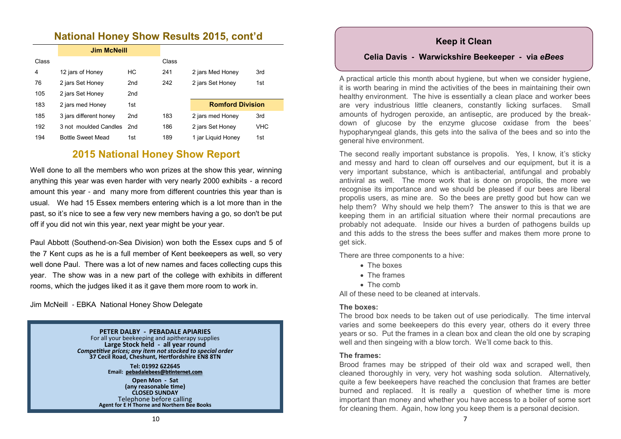### **National Honey Show Results 2015, cont'd**

|       | <b>Jim McNeill</b>       |                 |       |                         |      |
|-------|--------------------------|-----------------|-------|-------------------------|------|
| Class |                          |                 | Class |                         |      |
| 4     | 12 jars of Honey         | НC              | 241   | 2 jars Med Honey        | 3rd  |
| 76    | 2 jars Set Honey         | 2 <sub>nd</sub> | 242   | 2 jars Set Honey        | 1st  |
| 105   | 2 jars Set Honey         | 2 <sub>nd</sub> |       |                         |      |
| 183   | 2 jars med Honey         | 1st             |       | <b>Romford Division</b> |      |
| 185   | 3 jars different honey   | 2 <sub>nd</sub> | 183   | 2 jars med Honey        | 3rd  |
| 192   | 3 not moulded Candles    | 2nd             | 186   | 2 jars Set Honey        | VHC. |
| 194   | <b>Bottle Sweet Mead</b> | 1st             | 189   | 1 jar Liguid Honey      | 1st  |

### **2015 National Honey Show Report**

Well done to all the members who won prizes at the show this year, winning anything this year was even harder with very nearly 2000 exhibits - a record amount this year - and many more from different countries this year than is usual. We had 15 Essex members entering which is a lot more than in the past, so it's nice to see a few very new members having a go, so don't be put off if you did not win this year, next year might be your year.

Paul Abbott (Southend-on-Sea Division) won both the Essex cups and 5 of the 7 Kent cups as he is a full member of Kent beekeepers as well, so very well done Paul. There was a lot of new names and faces collecting cups this year. The show was in a new part of the college with exhibits in different rooms, which the judges liked it as it gave them more room to work in.

Jim McNeill - EBKA National Honey Show Delegate

#### **PETER DALBY - PEBADALE APIARIES**

For all your beekeeping and apitherapy supplies **Large Stock held - all year round** *Competitive prices; any item not stocked to special order* **37 Cecil Road, Cheshunt, Hertfordshire EN8 8TN**

> **Tel: 01992 622645 Email: [pebadalebees@btinternet.com](mailto:pebadalebees@btinternet.com)**

**Open Mon - Sat (any reasonable time) CLOSED SUNDAY** Telephone before calling **Agent for E H Thorne and Northern Bee Books**

### **Keep it Clean**

### **Celia Davis - Warwickshire Beekeeper - via** *eBees*

A practical article this month about hygiene, but when we consider hygiene, it is worth bearing in mind the activities of the bees in maintaining their own healthy environment. The hive is essentially a clean place and worker bees are very industrious little cleaners, constantly licking surfaces. Small amounts of hydrogen peroxide, an antiseptic, are produced by the breakdown of glucose by the enzyme glucose oxidase from the bees' hypopharyngeal glands, this gets into the saliva of the bees and so into the general hive environment.

The second really important substance is propolis. Yes, I know, it's sticky and messy and hard to clean off ourselves and our equipment, but it is a very important substance, which is antibacterial, antifungal and probably antiviral as well. The more work that is done on propolis, the more we recognise its importance and we should be pleased if our bees are liberal propolis users, as mine are. So the bees are pretty good but how can we help them? Why should we help them? The answer to this is that we are keeping them in an artificial situation where their normal precautions are probably not adequate. Inside our hives a burden of pathogens builds up and this adds to the stress the bees suffer and makes them more prone to get sick.

There are three components to a hive:

- The boxes
- The frames
- The comb

All of these need to be cleaned at intervals.

### **The boxes:**

The brood box needs to be taken out of use periodically. The time interval varies and some beekeepers do this every year, others do it every three years or so. Put the frames in a clean box and clean the old one by scraping well and then singeing with a blow torch. We'll come back to this.

### **The frames:**

Brood frames may be stripped of their old wax and scraped well, then cleaned thoroughly in very, very hot washing soda solution. Alternatively, quite a few beekeepers have reached the conclusion that frames are better burned and replaced. It is really a question of whether time is more important than money and whether you have access to a boiler of some sort for cleaning them. Again, how long you keep them is a personal decision.